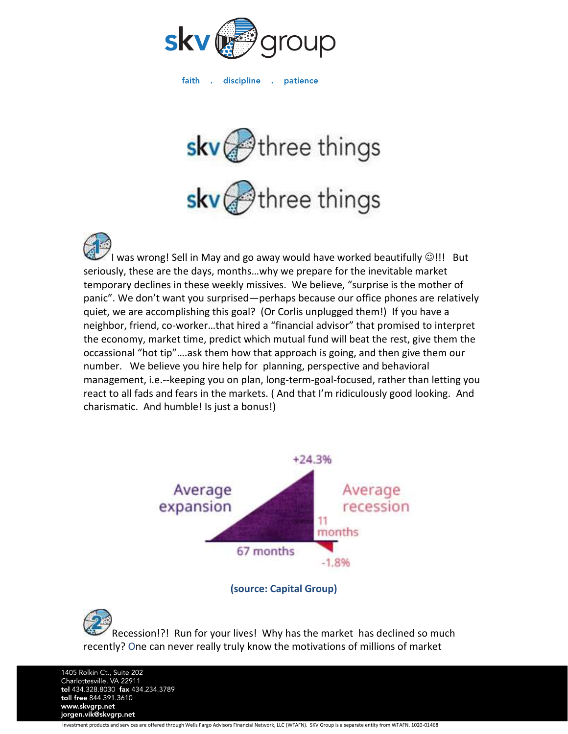

faith discipline .  $\sim 10^{-1}$ patience



I was wrong! Sell in May and go away would have worked beautifully  $\textcircled{}!!$  But seriously, these are the days, months…why we prepare for the inevitable market temporary declines in these weekly missives. We believe, "surprise is the mother of panic". We don't want you surprised—perhaps because our office phones are relatively quiet, we are accomplishing this goal? (Or Corlis unplugged them!) If you have a neighbor, friend, co-worker…that hired a "financial advisor" that promised to interpret the economy, market time, predict which mutual fund will beat the rest, give them the occassional "hot tip"….ask them how that approach is going, and then give them our number. We believe you hire help for planning, perspective and behavioral management, i.e.--keeping you on plan, long-term-goal-focused, rather than letting you react to all fads and fears in the markets. ( And that I'm ridiculously good looking. And charismatic. And humble! Is just a bonus!)



**(source: Capital Group)**

Recession!?! Run for your lives! Why has the market has declined so much recently? One can never really truly know the motivations of millions of market

1405 Rolkin Ct., Suite 202 Charlottesville, VA 22911<br>tel 434.328.8030 fax 434.234.3789 toll free 844.391.3610 www.skvgrp.net jorgen.vik@skvgrp.net Investment products and services are offered through Wells Fargo Advisors Financial Network, LLC (WFAFN). SKV Group is a separate entity from WFAFN. 1020-01468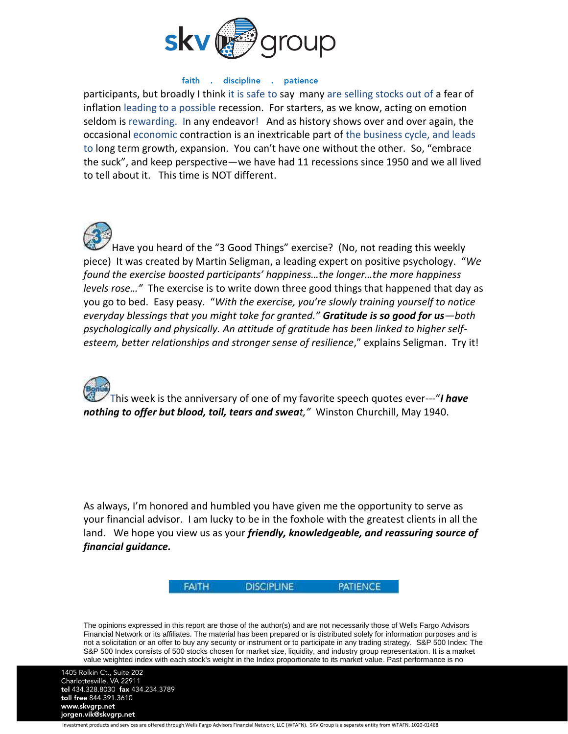

## faith . discipline . patience

participants, but broadly I think it is safe to say many are selling stocks out of a fear of inflation leading to a possible recession. For starters, as we know, acting on emotion seldom is rewarding. In any endeavor! And as history shows over and over again, the occasional economic contraction is an inextricable part of the business cycle, and leads to long term growth, expansion. You can't have one without the other. So, "embrace the suck", and keep perspective—we have had 11 recessions since 1950 and we all lived to tell about it. This time is NOT different.

Have you heard of the "3 Good Things" exercise? (No, not reading this weekly piece) It was created by Martin Seligman, a leading expert on positive psychology. "*We found the exercise boosted participants' happiness…the longer…the more happiness levels rose…"* The exercise is to write down three good things that happened that day as you go to bed. Easy peasy. "*With the exercise, you're slowly training yourself to notice everyday blessings that you might take for granted." Gratitude is so good for us—both psychologically and physically. An attitude of gratitude has been linked to higher selfesteem, better relationships and stronger sense of resilience*," explains Seligman. Try it!



This week is the anniversary of one of my favorite speech quotes ever---"*I have nothing to offer but blood, toil, tears and sweat,"* Winston Churchill, May 1940.

As always, I'm honored and humbled you have given me the opportunity to serve as your financial advisor. I am lucky to be in the foxhole with the greatest clients in all the land. We hope you view us as your *friendly, knowledgeable, and reassuring source of financial guidance.*



**PATIENCE** 

The opinions expressed in this report are those of the author(s) and are not necessarily those of Wells Fargo Advisors Financial Network or its affiliates. The material has been prepared or is distributed solely for information purposes and is not a solicitation or an offer to buy any security or instrument or to participate in any trading strategy. S&P 500 Index: The S&P 500 Index consists of 500 stocks chosen for market size, liquidity, and industry group representation. It is a market value weighted index with each stock's weight in the Index proportionate to its market value. Past performance is no

1405 Rolkin Ct., Suite 202 Charlottesville, VA 22911<br>tel 434.328.8030 fax 434.234.3789 toll free 844.391.3610 www.skvgrp.net jorgen.vik@skvgrp.net

Investment products and services are offered through Wells Fargo Advisors Financial Network, LLC (WFAFN). SKV Group is a separate entity from WFAFN. 1020-01468